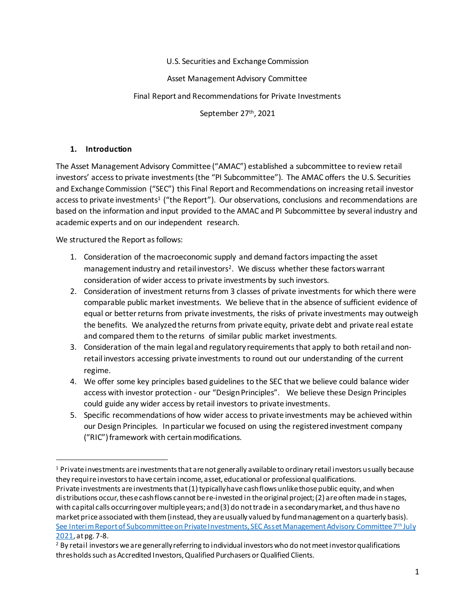U.S. Securities and Exchange Commission

Asset Management Advisory Committee

### Final Report and Recommendations for Private Investments

September 27th, 2021

## **1. Introduction**

The Asset Management Advisory Committee ("AMAC") established a subcommittee to review retail investors' access to private investments (the "PI Subcommittee"). The AMAC offers the U.S. Securities and Exchange Commission ("SEC") this Final Report and Recommendations on increasing retail investor access to private investments<sup>1</sup> ("the Report"). Our observations, conclusions and recommendations are based on the information and input provided to the AMAC and PI Subcommittee by several industry and academic experts and on our independent research.

We structured the Report as follows:

- 1. Consideration of the macroeconomic supply and demand factors impacting the asset management industry and retail investors<sup>2</sup>. We discuss whether these factors warrant consideration of wider access to private investments by such investors.
- 2. Consideration of investment returns from 3 classes of private investments for which there were comparable public market investments. We believe that in the absence of sufficient evidence of equal or better returns from private investments, the risks of private investments may outweigh the benefits. We analyzedthe returns from private equity, private debt and private real estate and compared them to the returns of similar public market investments.
- 3. Consideration of the main legal and regulatory requirements that apply to both retail and nonretail investors accessing private investments to round out our understanding of the current regime.
- 4. We offer some key principles based guidelines to the SEC that we believe could balance wider access with investor protection - our "Design Principles". We believe these Design Principles could guide any wider access by retail investors to private investments.
- 5. Specific recommendations of how wider access to private investments may be achieved within our Design Principles. In particular we focused on using the registered investment company ("RIC") framework with certain modifications.

 $1$  Private investments are investments that are not generally available to ordinary retail investors usually because they require investors to have certain income, asset, educational or professional qualifications.

Private investments are investments that (1) typically have cash flows unlike those public equity, and when distributions occur, these cash flows cannot be re-invested in the original project; (2) are often made in stages, with capital calls occurring over multiple years; and (3) do not trade in a secondary market, and thus have no market price associated with them (instead, they are usually valued by fund management on a quarterly basis). [See Interim Report of Subcommittee on Private Investments, SEC Asset Management Advisory Committee 7](https://www.sec.gov/files/spotlight/amac/amac-private-investment-sub-committee-prelim-report-070721.pdf)th July [2021,](https://www.sec.gov/files/spotlight/amac/amac-private-investment-sub-committee-prelim-report-070721.pdf) at pg. 7-8.

<sup>&</sup>lt;sup>2</sup> By retail investors we are generally referring to individual investors who do not meet investor qualifications thresholds such as Accredited Investors, Qualified Purchasers or Qualified Clients.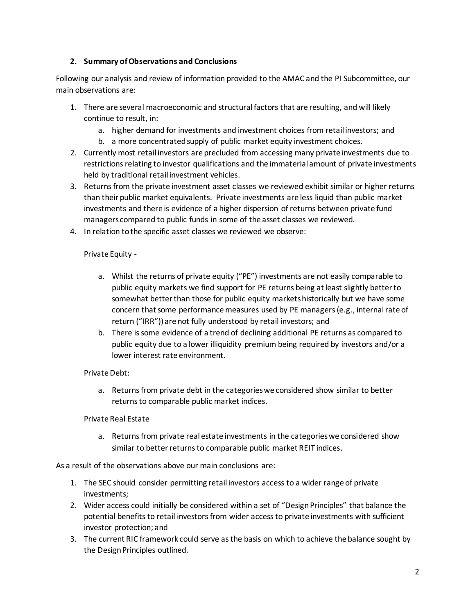### **2. Summary of Observations and Conclusions**

Following our analysis and review of information provided to the AMAC and the PI Subcommittee, our main observations are:

- 1. There are several macroeconomic and structural factors that are resulting, and will likely continue to result, in:
	- a. higher demand for investments and investment choices from retail investors; and
	- b. a more concentrated supply of public market equity investment choices.
- 2. Currently most retail investors are precluded from accessing many private investments due to restrictions relating to investor qualifications and the immaterial amount of private investments held by traditional retail investment vehicles.
- 3. Returns from the private investment asset classes we reviewed exhibit similar or higher returns than their public market equivalents. Private investments are less liquid than public market investments and there is evidence of a higher dispersion of returns between private fund managers compared to public funds in some of the asset classes we reviewed.
- 4. In relation to the specific asset classes we reviewed we observe:

#### Private Equity -

- a. Whilst the returns of private equity ("PE") investments are not easily comparable to public equity markets we find support for PE returns being at least slightly better to somewhat better than those for public equity markets historically but we have some concern that some performance measures used by PE managers(e.g., internalrate of return ("IRR")) are not fully understood by retail investors; and
- b. There is some evidence of a trend of declining additional PE returns as compared to public equity due to a lower illiquidity premium being required by investors and/or a lower interest rate environment.

#### Private Debt:

a. Returns from private debt in the categories we considered show similar to better returns to comparable public market indices.

#### Private Real Estate

a. Returns from private real estate investments in the categories we considered show similar to better returns to comparable public market REIT indices.

As a result of the observations above our main conclusions are:

- 1. The SEC should consider permitting retail investors access to a wider range of private investments;
- 2. Wider access could initially be considered within a set of "Design Principles" that balance the potential benefits to retail investors from wider accessto private investments with sufficient investor protection; and
- 3. The current RIC framework could serve as the basis on which to achieve the balance sought by the Design Principles outlined.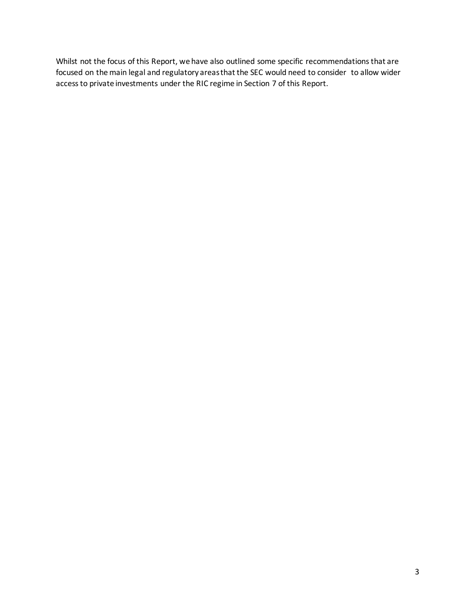Whilst not the focus of this Report, we have also outlined some specific recommendations that are focused on the main legal and regulatory areas that the SEC would need to consider to allow wider accessto private investments under the RIC regime in Section 7 of this Report.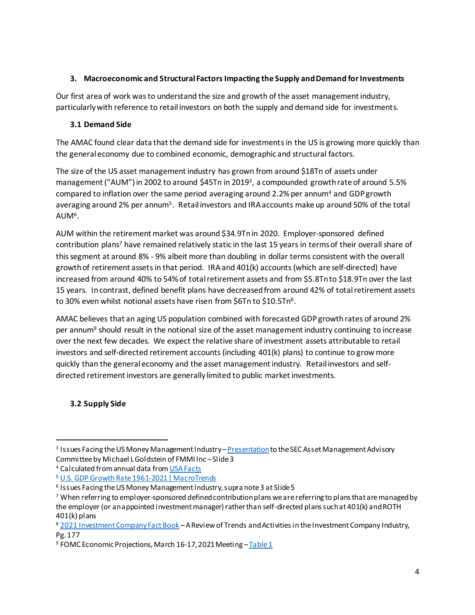## **3. Macroeconomic and Structural Factors Impacting the Supply and Demand for Investments**

Our first area of work was to understand the size and growth of the asset management industry, particularly with reference to retail investors on both the supply and demand side for investments.

## **3.1 Demand Side**

The AMAC found clear data that the demand side for investmentsin the US is growing more quickly than the general economy due to combined economic, demographic and structural factors.

The size of the US asset management industry has grown from around \$18Tn of assets under management ("AUM") in 2002 to around \$45Tn in 2019<sup>3</sup>, a compounded growth rate of around 5.5% compared to inflation over the same period averaging around 2.2% per annum<sup>4</sup> and GDP growth averaging around 2% per annum<sup>5</sup>. Retail investors and IRA accounts make up around 50% of the total AUM<sup>6</sup>.

AUM within the retirement market was around \$34.9Tn in 2020. Employer-sponsored defined contribution plans<sup>7</sup> have remained relatively static in the last 15 years in terms of their overall share of this segment at around 8% - 9% albeit more than doubling in dollar terms consistent with the overall growth of retirement assets in that period. IRAand 401(k) accounts (which are self-directed) have increased from around 40% to 54% of total retirement assets and from \$5.8Tn to \$18.9Tn over the last 15 years. In contrast, defined benefit plans have decreased from around 42% of total retirement assets to 30% even whilst notional assets have risen from \$6Tn to \$10.5Tn<sup>8</sup>.

AMAC believes that an aging US population combined with forecasted GDP growth rates of around 2% per annum<sup>9</sup> should result in the notional size of the asset management industry continuing to increase over the next few decades*.* We expect the relative share of investment assets attributable to retail investors and self-directed retirement accounts (including 401(k) plans) to continue to growmore quickly than the general economy and the asset management industry. Retail investors and selfdirected retirement investors are generally limited to public market investments.

# **3.2 Supply Side**

<sup>&</sup>lt;sup>3</sup> Issues Facing the US Money Management Industry – <u>[Presentation](https://www.sec.gov/files/Empirical-Research-Issues-Facing-US-MM.pdf)</u> to the SEC Asset Management Advisory Committee by Michael L Goldstein of FMMI Inc –Slide 3

<sup>4</sup> Calculated from annual data fro[m USA Facts](https://usafacts.org/data/topics/economy/economic-indicators/economic-indicators-and-actions/inflation-rate-yearly-average/?utm_source=bing&utm_medium=cpc&utm_campaign=ND-StatsData&msclkid=f4d9a2d7475e155e5454c2624902f4b5)

<sup>5</sup> [U.S. GDP Growth Rate 1961-2021 | MacroTrends](https://www.macrotrends.net/countries/USA/united-states/gdp-growth-rate#:~:text=U.S.%20GDP%20Growth%20Rate%20-%20Historical%20Data%20,%20%20-1.27%25%20%2055%20more%20rows%20)

<sup>6</sup> Issues Facing the US Money Management Industry, supra note 3 at Slide 5

 $^7$  When referring to employer-sponsored defined contribution plans we are referring to plans that are managed by the employer (or an appointed investment manager) rather than self-directed plans such at 401(k) and ROTH  $401(k)$  plans

<sup>8</sup> [2021 Investment Company Fact Book](https://www.ici.org/system/files/2021-05/2021_factbook.pdf) - A Review of Trends and Activities in the Investment Company Industry, Pg. 177

<sup>&</sup>lt;sup>9</sup> FOMC Economic Projections, March 16-17, 2021 Meeting - [Table 1](https://www.federalreserve.gov/monetarypolicy/fomcprojtabl20210317.htm)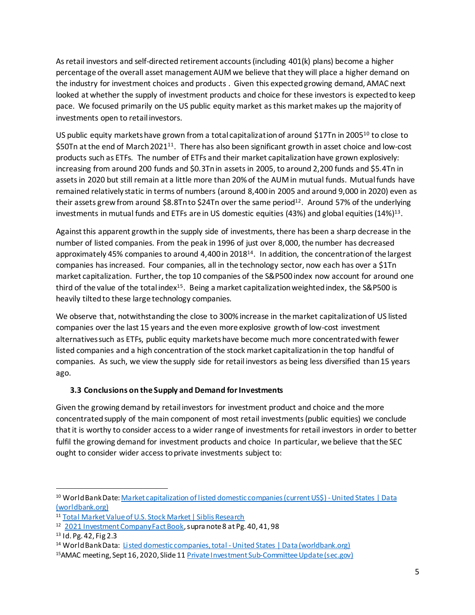As retail investors and self-directed retirement accounts (including 401(k) plans) become a higher percentage of the overall asset management AUM we believe that they will place a higher demand on the industry for investment choices and products . Given this expected growing demand, AMAC next looked at whether the supply of investment products and choice for these investors is expected to keep pace. We focused primarily on the US public equity market as this market makes up the majority of investments open to retail investors.

US public equity markets have grown from a total capitalization of around \$17Tn in 2005<sup>10</sup> to close to \$50Tn at the end of March 2021<sup>11</sup>. There has also been significant growth in asset choice and low-cost products such as ETFs. The number of ETFs and their market capitalization have grown explosively: increasing from around 200 funds and \$0.3Tn in assetsin 2005, to around 2,200 funds and \$5.4Tn in assetsin 2020 but still remain at a little more than 20% of the AUM in mutual funds. Mutual funds have remained relatively static in terms of numbers (around 8,400 in 2005 and around 9,000 in 2020) even as their assets grew from around \$8.8Tn to \$24Tn over the same period<sup>12</sup>. Around 57% of the underlying investments in mutual funds and ETFs are in US domestic equities (43%) and global equities (14%)<sup>13</sup>.

Against this apparent growth in the supply side of investments, there has been a sharp decrease in the number of listed companies. From the peak in 1996 of just over 8,000, the number has decreased approximately 45% companies to around 4,400 in 2018<sup>14</sup>. In addition, the concentration of the largest companies has increased. Four companies, all in the technology sector, now each has over a \$1Tn market capitalization. Further, the top 10 companies of the S&P500 index now account for around one third of the value of the total index<sup>15</sup>. Being a market capitalization weighted index, the S&P500 is heavily tilted to these large technology companies.

We observe that, notwithstanding the close to 300% increase in the market capitalization of US listed companies over the last 15 years and the even more explosive growth of low-cost investment alternatives such as ETFs, public equity markets have become much more concentrated with fewer listed companies and a high concentration of the stock market capitalization in the top handful of companies. As such, we view the supply side for retail investors as being less diversified than 15 years ago.

# **3.3 Conclusions on the Supply and Demand for Investments**

Given the growing demand by retail investors for investment product and choice and the more concentrated supply of the main component of most retail investments (public equities) we conclude that it is worthy to consider access to a wider range of investments for retail investors in order to better fulfil the growing demand for investment products and choice In particular, we believe that the SEC ought to consider wider access to private investments subject to:

<sup>10</sup> World Bank Date: Market capitalization of listed domestic companies (current US\$) - United States | Data [\(worldbank.org\)](https://data.worldbank.org/indicator/CM.MKT.LCAP.CD?locations=US)

<sup>11</sup> [Total Market Value of U.S. Stock Market | Siblis Research](https://siblisresearch.com/data/us-stock-market-value/)

<sup>&</sup>lt;sup>12</sup> [2021 Investment Company Fact Book](https://www.ici.org/system/files/2021-05/2021_factbook.pdf), supra note 8 at Pg. 40, 41, 98

<sup>13</sup> Id. Pg. 42, Fig 2.3

<sup>&</sup>lt;sup>14</sup> World Bank Data: Listed domestic companies, total - United States | Data (worldbank.org)

<sup>15</sup>AMAC meeting, Sept 16, 2020, Slide 1[1 Private Investment Sub-Committee Update \(sec.gov\)](https://www.sec.gov/files/amac-pi-sub-committee-presentation-09162020.pdf)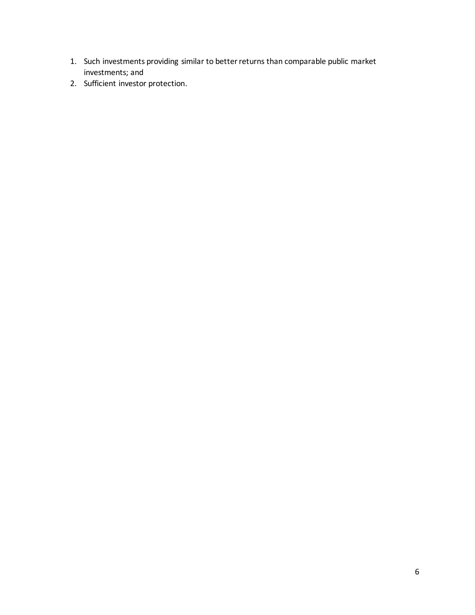- 1. Such investments providing similar to better returns than comparable public market investments; and
- 2. Sufficient investor protection.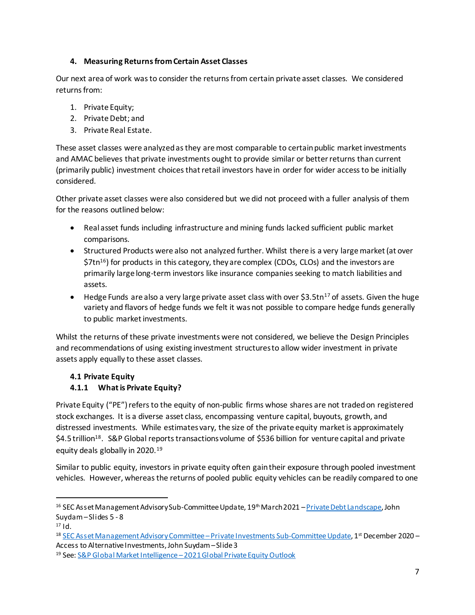## **4. Measuring Returns from Certain Asset Classes**

Our next area of work was to consider the returns from certain private asset classes. We considered returns from:

- 1. Private Equity;
- 2. Private Debt; and
- 3. Private Real Estate.

These asset classes were analyzed as they are most comparable to certain public market investments and AMAC believes that private investments ought to provide similar or better returns than current (primarily public) investment choices that retail investors have in order for wider access to be initially considered.

Other private asset classes were also considered but we did not proceed with a fuller analysis of them for the reasons outlined below:

- Real asset funds including infrastructure and mining funds lacked sufficient public market comparisons.
- Structured Products were also not analyzed further. Whilst there is a very large market (at over  $$7tn^{16}$$  for products in this category, they are complex (CDOs, CLOs) and the investors are primarily large long-term investors like insurance companies seeking to match liabilities and assets.
- $\bullet$  Hedge Funds are also a very large private asset class with over \$3.5tn<sup>17</sup> of assets. Given the huge variety and flavors of hedge funds we felt it was not possible to compare hedge funds generally to public market investments.

Whilst the returns of these private investments were not considered, we believe the Design Principles and recommendations of using existing investment structures to allow wider investment in private assets apply equally to these asset classes.

# **4.1 Private Equity**

# **4.1.1 What is Private Equity?**

Private Equity ("PE") refers to the equity of non-public firms whose shares are not traded on registered stock exchanges. It is a diverse asset class, encompassing venture capital, buyouts, growth, and distressed investments. While estimates vary, the size of the private equity market is approximately \$4.5 trillion<sup>18</sup>. S&P Global reports transactions volume of \$536 billion for venture capital and private equity deals globally in 2020.<sup>19</sup>

Similar to public equity, investors in private equity often gain their exposure through pooled investment vehicles. However, whereas the returns of pooled public equity vehicles can be readily compared to one

<sup>&</sup>lt;sup>16</sup> SEC Asset Management Advisory Sub-Committee Update, 19<sup>th</sup> March 2021 – [Private Debt Landscape](https://www.sec.gov/files/amac-031921-private-investments-slides.pdf), John Suydam –Slides 5 - 8

<sup>17</sup> Id.

<sup>&</sup>lt;sup>18</sup> <u>[SEC Asset Management Advisory Committee](https://www.sec.gov/spotlight/amac/amac-private-investments-subcommittee-update-120120.pdf) – Private Investments Sub-Committee Update</u>, 1st December 2020 – Access to Alternative Investments, John Suydam –Slide3

<sup>19</sup> See: S&P Global Market Intelligence –[2021 Global Private Equity Outlook](https://www.spglobal.com/marketintelligence/en/news-insights/research/2021-global-private-equity-outlook)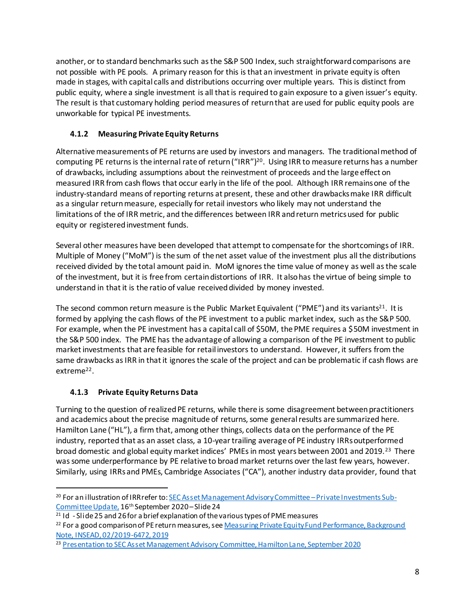another, or to standard benchmarks such as the S&P 500 Index, such straightforward comparisons are not possible with PE pools. A primary reason for this is that an investment in private equity is often made in stages, with capital calls and distributions occurring over multiple years. This is distinct from public equity, where a single investment is all that is required to gain exposure to a given issuer's equity. The result is that customary holding period measures of return that are used for public equity pools are unworkable for typical PE investments.

# **4.1.2 Measuring Private Equity Returns**

Alternative measurements of PE returns are used by investors and managers. The traditional method of computing PE returns is the internal rate of return ("IRR")<sup>20</sup>. Using IRR to measure returns has a number of drawbacks, including assumptions about the reinvestment of proceeds and the large effect on measured IRR from cash flows that occur early in the life of the pool. Although IRR remains one of the industry-standard means of reporting returns at present, these and other drawbacks make IRR difficult as a singular return measure, especially for retail investors who likely may not understand the limitations of the of IRR metric, and the differences between IRR and return metrics used for public equity or registered investment funds.

Several other measures have been developed that attempt to compensate for the shortcomings of IRR. Multiple of Money ("MoM") is the sum of the net asset value of the investment plus all the distributions received divided by the total amount paid in. MoM ignores the time value of money as well as the scale of the investment, but it is free from certain distortions of IRR. It also has the virtue of being simple to understand in that it is the ratio of value received divided by money invested.

The second common return measure is the Public Market Equivalent ("PME") and its variants<sup>21</sup>. It is formed by applying the cash flows of the PE investment to a public market index, such as the S&P 500. For example, when the PE investment has a capital call of \$50M, the PME requires a \$50M investment in the S&P 500 index. The PME has the advantage of allowing a comparison of the PE investment to public market investments that are feasible for retail investors to understand. However, it suffers from the same drawbacks as IRR in that it ignores the scale of the project and can be problematic if cash flows are extreme<sup>22</sup>.

# **4.1.3 Private Equity Returns Data**

Turning to the question of realized PE returns, while there is some disagreement between practitioners and academics about the precise magnitude of returns, some general results are summarized here. Hamilton Lane ("HL"), a firm that, among other things, collects data on the performance of the PE industry, reported that as an asset class, a 10-year trailing average of PE industry IRRs outperformed broad domestic and global equity market indices' PMEs in most years between 2001 and 2019.<sup>23</sup> There was some underperformance by PE relative to broad market returns over the last few years, however. Similarly, using IRRs and PMEs, Cambridge Associates ("CA"), another industry data provider, found that

l <sup>20</sup> For an illustration of IRR refer to[: SEC Asset Management Advisory Committee](https://www.sec.gov/files/amac-pi-sub-committee-presentation-09162020.pdf) – Private Investments Sub-[Committee Update,](https://www.sec.gov/files/amac-pi-sub-committee-presentation-09162020.pdf) 16th September 2020 –Slide 24

 $21$  Id - Slide 25 and 26 for a brief explanation of the various types of PME measures

<sup>&</sup>lt;sup>22</sup> For a good comparison of PE return measures, see Measuring Private Equity Fund Performance, Background [Note, INSEAD, 02/2019-6472, 2019](https://www.insead.edu/sites/default/files/assets/dept/centres/gpei/docs/Measuring_PE_Fund-Performance-2019.pdf)

<sup>23</sup> [Presentation to SEC Asset Management Advisory Committee, Hamilton Lane, September 2020](https://www.sec.gov/files/hamilton-lane-presentation-092020.pdf)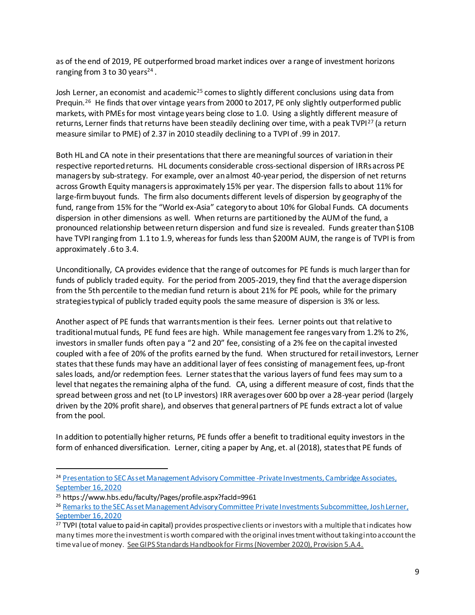as of the end of 2019, PE outperformed broad market indices over a range of investment horizons ranging from 3 to 30 years<sup>24</sup>.

Josh Lerner, an economist and academic<sup>25</sup> comes to slightly different conclusions using data from Prequin.<sup>26</sup> He finds that over vintage years from 2000 to 2017, PE only slightly outperformed public markets, with PMEs for most vintage years being close to 1.0. Using a slightly different measure of returns, Lerner finds that returns have been steadily declining over time, with a peak TVPI<sup>27</sup> (a return measure similar to PME) of 2.37 in 2010 steadily declining to a TVPI of .99 in 2017.

Both HL and CA note in their presentations that there are meaningful sources of variation in their respective reported returns. HL documents considerable cross-sectional dispersion of IRRs across PE managers by sub-strategy. For example, over an almost 40-year period, the dispersion of net returns across Growth Equity managers is approximately 15% per year. The dispersion falls to about 11% for large-firm buyout funds. The firm also documents different levels of dispersion by geography of the fund, range from 15% for the "World ex-Asia" category to about 10% for Global Funds. CA documents dispersion in other dimensions as well. When returns are partitioned by the AUM of the fund, a pronounced relationship between return dispersion and fund size is revealed. Funds greater than \$10B have TVPI ranging from 1.1 to 1.9, whereas for funds less than \$200M AUM, the range is of TVPI is from approximately .6 to 3.4.

Unconditionally, CA provides evidence that the range of outcomes for PE funds is much larger than for funds of publicly traded equity. For the period from 2005-2019, they find that the average dispersion from the 5th percentile to the median fund return is about 21% for PE pools, while for the primary strategies typical of publicly traded equity pools the same measure of dispersion is 3% or less.

Another aspect of PE funds that warrants mention istheir fees. Lerner points out that relative to traditional mutual funds, PE fund fees are high. While management fee ranges vary from 1.2% to 2%, investors in smaller funds often pay a "2 and 20" fee, consisting of a 2% fee on the capital invested coupled with a fee of 20% of the profits earned by the fund. When structured for retail investors, Lerner states that these funds may have an additional layer of fees consisting of management fees, up-front sales loads, and/or redemption fees. Lerner states that the various layers of fund fees may sum to a level that negates the remaining alpha of the fund. CA, using a different measure of cost, finds that the spread between gross and net (to LP investors) IRR averages over 600 bp over a 28-year period (largely driven by the 20% profit share), and observes that general partners of PE funds extract a lot of value from the pool.

In addition to potentially higher returns, PE funds offer a benefit to traditional equity investors in the form of enhanced diversification. Lerner, citing a paper by Ang, et. al (2018), states that PE funds of

<sup>&</sup>lt;sup>24</sup> [Presentation to SEC Asset Management Advisory Committee](https://www.sec.gov/files/cambridge-associates-private-investments.pdf) -Private Investments, Cambridge Associates, [September 16, 2020](https://www.sec.gov/files/cambridge-associates-private-investments.pdf)

<sup>25</sup> https://www.hbs.edu/faculty/Pages/profile.aspx?facId=9961

<sup>&</sup>lt;sup>26</sup> Remarks to the SEC Asset Management Advisory Committee Private Investments Subcommittee, Josh Lerner, [September 16, 2020](https://www.sec.gov/files/prof-lerner-remarks-09162020.pdf)

<sup>&</sup>lt;sup>27</sup> TVPI (total value to paid-in capital) provides prospective clients or investors with a multiple that indicates how many times more the investment is worth compared with the original investment without taking into account the time value of money. See GIPS Standards Handbook for Firms (November 2020), Provision 5.A.4.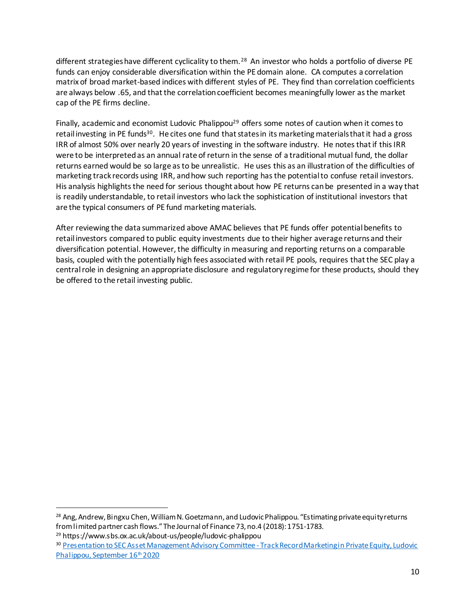different strategies have different cyclicality to them.<sup>28</sup> An investor who holds a portfolio of diverse PE funds can enjoy considerable diversification within the PE domain alone. CA computes a correlation matrix of broad market-based indices with different styles of PE. They find than correlation coefficients are always below .65, and that the correlation coefficient becomes meaningfully lower as the market cap of the PE firms decline.

Finally, academic and economist Ludovic Phalippou<sup>29</sup> offers some notes of caution when it comes to retail investing in PE funds<sup>30</sup>. He cites one fund that states in its marketing materials that it had a gross IRR of almost 50% over nearly 20 years of investing in the software industry. He notes that if this IRR were to be interpreted as an annual rate of return in the sense of a traditional mutual fund, the dollar returns earned would be so large as to be unrealistic. He uses this as an illustration of the difficulties of marketing track records using IRR, and how such reporting has the potential to confuse retail investors. His analysis highlights the need for serious thought about how PE returns can be presented in a way that is readily understandable, to retail investors who lack the sophistication of institutional investors that are the typical consumers of PE fund marketing materials.

After reviewing the data summarized above AMAC believes that PE funds offer potential benefits to retail investors compared to public equity investments due to their higher average returns and their diversification potential. However, the difficulty in measuring and reporting returns on a comparable basis, coupled with the potentially high fees associated with retail PE pools, requires that the SEC play a central role in designing an appropriate disclosure and regulatory regime for these products, should they be offered to the retail investing public.

<sup>28</sup> Ang, Andrew, Bingxu Chen, William N. Goetzmann, and Ludovic Phalippou. "Estimating private equity returns from limited partner cash flows."The Journal of Finance 73, no.4 (2018): 1751-1783. <sup>29</sup> https://www.sbs.ox.ac.uk/about-us/people/ludovic-phalippou

<sup>&</sup>lt;sup>30</sup> [Presentation to SEC Asset Management Advisory Committee -](https://www.sec.gov/files/prof-phalippou-track-record-marketing-in-private-equity.pdf) Track Record Marketing in Private Equity, Ludovic [Phalippou, September 16](https://www.sec.gov/files/prof-phalippou-track-record-marketing-in-private-equity.pdf)<sup>th</sup> 2020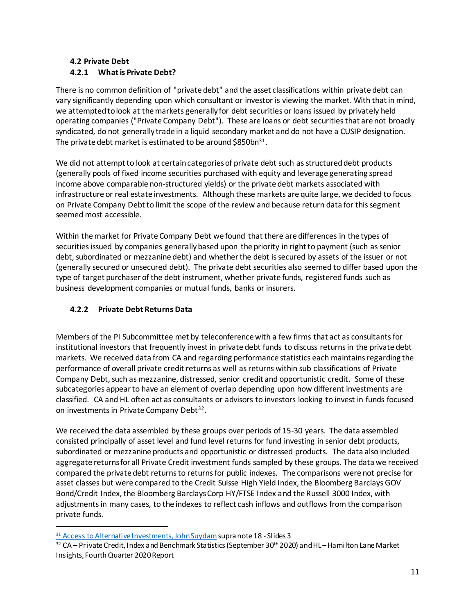# **4.2 Private Debt 4.2.1 What is Private Debt?**

There is no common definition of "private debt" and the asset classifications within private debt can vary significantly depending upon which consultant or investor is viewing the market. With that in mind, we attempted to look at the markets generally for debt securities or loans issued by privately held operating companies ("Private Company Debt"). These are loans or debt securities that are not broadly syndicated, do not generally trade in a liquid secondary market and do not have a CUSIP designation. The private debt market is estimated to be around \$850bn<sup>31</sup>.

We did not attempt to look at certain categories of private debt such as structured debt products (generally pools of fixed income securities purchased with equity and leverage generating spread income above comparable non-structured yields) or the private debt markets associated with infrastructure or real estate investments. Although these markets are quite large, we decided to focus on Private Company Debt to limit the scope of the review and because return data for this segment seemed most accessible.

Within the market for Private Company Debt we found that there are differences in the types of securities issued by companies generally based upon the priority in right to payment (such as senior debt, subordinated or mezzanine debt) and whether the debt is secured by assets of the issuer or not (generally secured or unsecured debt). The private debt securities also seemed to differ based upon the type of target purchaser of the debt instrument, whether private funds, registered funds such as business development companies or mutual funds, banks or insurers.

# **4.2.2 Private Debt Returns Data**

l

Members of the PI Subcommittee met by teleconference with a few firms that act as consultants for institutional investors that frequently invest in private debt funds to discuss returns in the private debt markets. We received data from CA and regarding performance statistics each maintains regarding the performance of overall private credit returns as well as returns within sub classifications of Private Company Debt, such as mezzanine, distressed, senior credit and opportunistic credit. Some of these subcategories appear to have an element of overlap depending upon how different investments are classified. CA and HL often act as consultants or advisors to investors looking to invest in funds focused on investments in Private Company Debt<sup>32</sup>.

We received the data assembled by these groups over periods of 15-30 years. The data assembled consisted principally of asset level and fund level returns for fund investing in senior debt products, subordinated or mezzanine products and opportunistic or distressed products. The data also included aggregate returns for all Private Credit investment funds sampled by these groups. The data we received compared the private debt returns to returns for public indexes. The comparisons were not precise for asset classes but were compared to the Credit Suisse High Yield Index, the Bloomberg Barclays GOV Bond/Credit Index, the Bloomberg Barclays Corp HY/FTSE Index and the Russell 3000 Index, with adjustments in many cases, to the indexes to reflect cash inflows and outflows from the comparison private funds.

<sup>&</sup>lt;sup>31</sup> [Access to Alternative Investments, John Suydam](https://www.sec.gov/spotlight/amac/amac-private-investments-subcommittee-update-120120.pdf) supra note 18 - Slides 3

<sup>32</sup> CA – Private Credit, Index and Benchmark Statistics (September 30<sup>th</sup> 2020) and HL – Hamilton Lane Market Insights, Fourth Quarter 2020 Report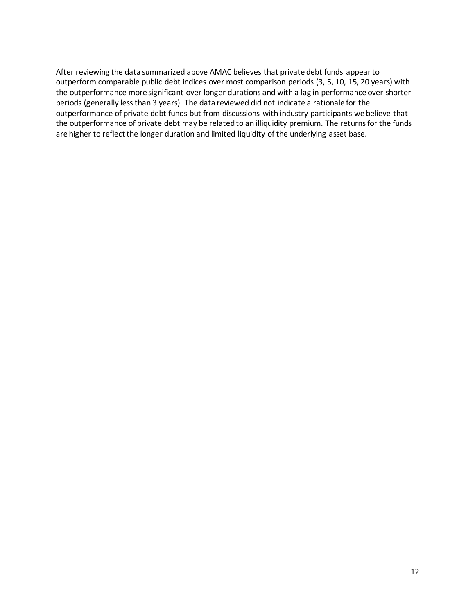After reviewing the data summarized above AMAC believes that private debt funds appear to outperform comparable public debt indices over most comparison periods (3, 5, 10, 15, 20 years) with the outperformance more significant over longer durations and with a lag in performance over shorter periods (generally less than 3 years). The data reviewed did not indicate a rationale for the outperformance of private debt funds but from discussions with industry participants we believe that the outperformance of private debt may be related to an illiquidity premium. The returns for the funds are higher to reflect the longer duration and limited liquidity of the underlying asset base.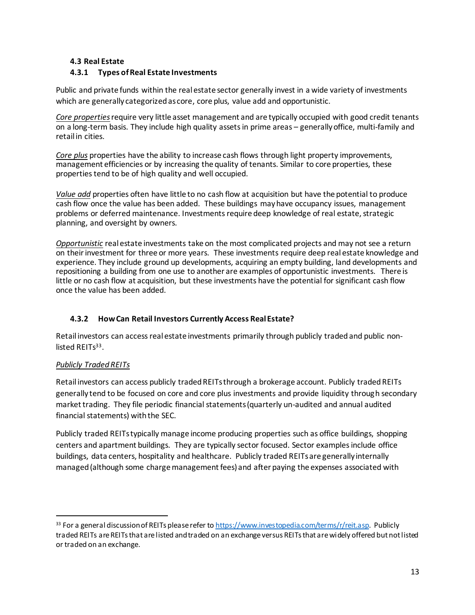## **4.3 Real Estate**

# **4.3.1 Types of Real Estate Investments**

Public and private funds within the real estate sector generally invest in a wide variety of investments which are generally categorized as core, core plus, value add and opportunistic.

*Core properties*require very little asset management and are typically occupied with good credit tenants on a long-term basis. They include high quality assets in prime areas – generally office, multi-family and retail in cities.

*Core plus* properties have the ability to increase cash flows through light property improvements, management efficiencies or by increasing the quality of tenants. Similar to core properties, these properties tend to be of high quality and well occupied.

*Value add* properties often have little to no cash flow at acquisition but have the potential to produce cash flow once the value has been added. These buildings may have occupancy issues, management problems or deferred maintenance. Investments require deep knowledge of real estate, strategic planning, and oversight by owners.

*Opportunistic* real estate investments take on the most complicated projects and may not see a return on their investment for three or more years. These investments require deep real estate knowledge and experience. They include ground up developments, acquiring an empty building, land developments and repositioning a building from one use to another are examples of opportunistic investments. There is little or no cash flow at acquisition, but these investments have the potential for significant cash flow once the value has been added.

# **4.3.2 How Can Retail Investors Currently Access Real Estate?**

Retail investors can access real estate investments primarily through publicly tradedand public nonlisted REITs<sup>33</sup>.

# *Publicly Traded REITs*

l

Retail investors can access publicly traded REITs through a brokerage account. Publicly tradedREITs generally tend to be focused on core and core plus investments and provide liquidity through secondary market trading. They file periodic financial statements (quarterly un-audited and annual audited financial statements) with the SEC.

Publicly traded REITs typically manage income producing properties such as office buildings, shopping centers and apartment buildings. They are typically sector focused. Sector examplesinclude office buildings, data centers, hospitality and healthcare. Publicly traded REITs are generally internally managed (although some charge management fees) and after paying the expenses associated with

<sup>33</sup> For a general discussion of REITs please refer t[o https://www.investopedia.com/terms/r/reit.asp](https://www.investopedia.com/terms/r/reit.asp). Publicly traded REITs are REITs that are listed and traded on an exchange versus REITs that are widely offered but not listed or traded on an exchange.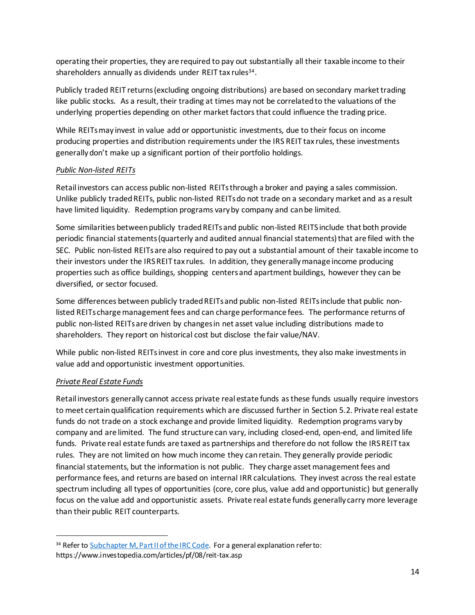operating their properties, they are required to pay out substantially all their taxable income to their shareholders annually as dividends under REIT tax rules<sup>34</sup>.

Publicly traded REIT returns (excluding ongoing distributions) are based on secondary market trading like public stocks. As a result, their trading at times may not be correlated to the valuations of the underlying properties depending on other market factors that could influence the trading price.

While REITs may invest in value add or opportunistic investments, due to their focus on income producing properties and distribution requirements under the IRS REIT tax rules, these investments generally don't make up a significant portion of their portfolio holdings.

## *Public Non-listed REITs*

Retail investors can access public non-listed REITs through a broker and paying a sales commission. Unlike publicly traded REITs, public non-listed REITs do not trade on a secondary market and as a result have limited liquidity. Redemption programs vary by company and can be limited.

Some similarities between publicly traded REITs and public non-listed REITS include that both provide periodic financial statements (quarterly and audited annual financial statements) that are filed with the SEC. Public non-listed REITs are also required to pay out a substantial amount of their taxable income to their investors under the IRS REIT tax rules. In addition, they generally manage income producing properties such as office buildings, shopping centers and apartment buildings, however they can be diversified, or sector focused.

Some differences between publicly traded REITs and public non-listed REITs include that public nonlisted REITs charge management fees and can charge performance fees. The performance returns of public non-listed REITs are driven by changes in net asset value including distributions made to shareholders. They report on historical cost but disclose the fair value/NAV.

While public non-listed REITs invest in core and core plus investments, they also make investments in value add and opportunistic investment opportunities.

## *Private Real Estate Funds*

l

Retail investors generally cannot access private real estate funds as these funds usually require investors to meet certain qualification requirements which are discussed further in Section 5.2. Private real estate funds do not trade on a stock exchange and provide limited liquidity. Redemption programs vary by company and are limited. The fund structure can vary, including closed-end, open-end, and limited life funds. Private real estate funds are taxed as partnerships and therefore do not follow the IRS REIT tax rules. They are not limited on how much income they can retain. They generally provide periodic financial statements, but the information is not public. They charge asset management fees and performance fees, and returns are based on internal IRR calculations. They invest across the real estate spectrum including all types of opportunities (core, core plus, value add and opportunistic) but generally focus on the value add and opportunistic assets. Private real estate funds generally carry more leverage than their public REIT counterparts.

<sup>&</sup>lt;sup>34</sup> Refer to [Subchapter M, Part II](https://www.law.cornell.edu/uscode/text/26/subtitle-A/chapter-1/subchapter-M/part-II) of the IRC Code. For a general explanation refer to: https://www.investopedia.com/articles/pf/08/reit-tax.asp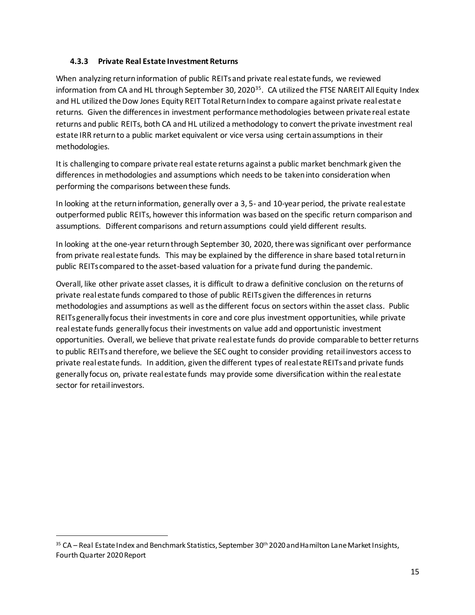## **4.3.3 Private Real Estate Investment Returns**

When analyzing return information of public REITs and private real estate funds, we reviewed information from CA and HL through September 30, 2020<sup>35</sup>. CA utilized the FTSE NAREIT All Equity Index and HL utilized the Dow Jones Equity REIT Total Return Index to compare against private real estate returns. Given the differences in investment performance methodologies between private real estate returns and public REITs, both CA and HL utilized a methodology to convert the private investment real estate IRR return to a public market equivalent or vice versa using certain assumptions in their methodologies.

It is challenging to compare private real estate returns against a public market benchmark given the differences in methodologies and assumptions which needs to be taken into consideration when performing the comparisons between these funds.

In looking at the return information, generally over a 3, 5- and 10-year period, the private real estate outperformed public REITs, however this information was based on the specific return comparison and assumptions. Different comparisons and return assumptions could yield different results.

In looking at the one-year return through September 30, 2020, there was significant over performance from private real estate funds. This may be explained by the difference in share based total return in public REITs compared to the asset-based valuation for a private fund during the pandemic.

Overall, like other private asset classes, it is difficult to draw a definitive conclusion on the returns of private real estate funds compared to those of public REITs given the differences in returns methodologies and assumptions as well as the different focus on sectors within the asset class. Public REITs generally focus their investments in core and core plus investment opportunities, while private real estate funds generally focus their investments on value add and opportunistic investment opportunities. Overall, we believe that private real estate funds do provide comparable to better returns to public REITs and therefore, we believe the SEC ought to consider providing retail investors access to private real estate funds. In addition, given the different types of real estate REITs and private funds generally focus on, private real estate funds may provide some diversification within the real estate sector for retail investors.

<sup>35</sup> CA – Real Estate Index and Benchmark Statistics, September 30<sup>th</sup> 2020 and Hamilton Lane Market Insights, Fourth Quarter 2020 Report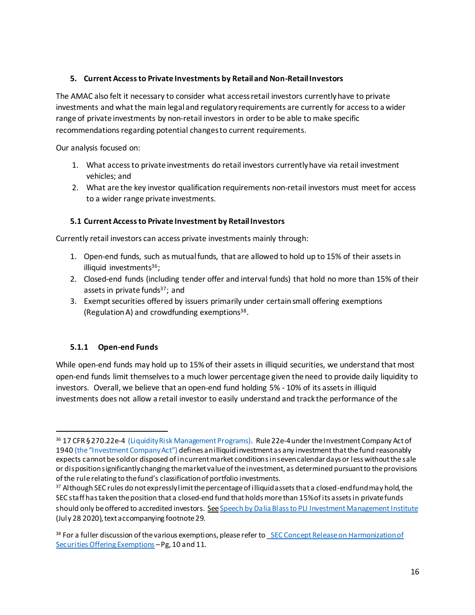### **5. Current Access to Private Investments by Retail and Non-Retail Investors**

The AMAC also felt it necessary to consider what access retail investors currently have to private investments and what the main legal and regulatory requirements are currently for access to a wider range of private investments by non-retail investors in order to be able to make specific recommendations regarding potential changes to current requirements.

Our analysis focused on:

- 1. What access to private investments do retail investors currently have via retail investment vehicles; and
- 2. What are the key investor qualification requirements non-retail investors must meet for access to a wider range private investments.

#### **5.1 Current Access to Private Investment by Retail Investors**

Currently retail investors can access private investments mainly through:

- 1. Open-end funds, such as mutual funds, that are allowed to hold up to 15% of their assets in illiquid investments $36$ ;
- 2. Closed-end funds (including tender offer and interval funds) that hold no more than 15% of their assets in private funds<sup>37</sup>; and
- 3. Exempt securities offered by issuers primarily under certain small offering exemptions (Regulation A) and crowdfunding exemptions<sup>38</sup>.

#### **5.1.1 Open-end Funds**

1

While open-end funds may hold up to 15% of their assets in illiquid securities, we understand that most open-end funds limit themselves to a much lower percentage given the need to provide daily liquidity to investors. Overall, we believe that an open-end fund holding 5% - 10% of its assets in illiquid investments does not allow a retail investor to easily understand and track the performance of the

<sup>36</sup> 17 CFR § 270.22e-4 (Liquidity Risk Management Programs). Rule 22e-4 under the Investment Company Act of 1940 (the "Investment Company Act") defines an illiquid investment as any investment that the fund reasonably expects cannot be sold or disposed of in current market conditions in seven calendar days or less without the sale or disposition significantly changing the market value of the investment, as determined pursuant to the provisions of the rule relating to the fund's classification of portfolio investments.

 $37$  Although SEC rules do not expressly limit the percentage of illiquid assets that a closed-end fund may hold, the SEC staff has taken the position that a closed-end fund that holds more than 15% of its assets in private funds should only be offered to accredited investors. See Speech by Dalia Blass to PLI Investment Management Institute (July 28 2020), text accompanying footnote 29.

<sup>38</sup> For a fuller discussion of the various exemptions, please refer to SEC Concept Release on Harmonization of [Securities Offering Exemptions](https://www.sec.gov/rules/concept/2019/33-10649.pdf) –Pg, 10 and 11.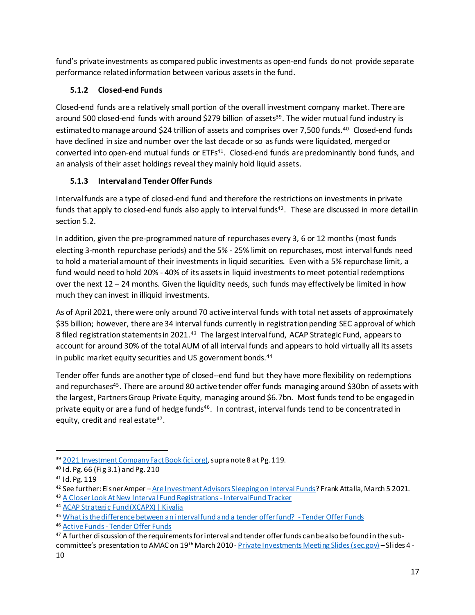fund's private investments as compared public investments as open-end funds do not provide separate performance related information between various assets in the fund.

# **5.1.2 Closed-end Funds**

Closed-end funds are a relatively small portion of the overall investment company market. There are around 500 closed-end funds with around \$279 billion of assets<sup>39</sup>. The wider mutual fund industry is estimated to manage around \$24 trillion of assets and comprises over 7,500 funds.<sup>40</sup> Closed-end funds have declined in size and number over the last decade or so as funds were liquidated, merged or converted into open-end mutual funds or ETFs<sup>41</sup>. Closed-end funds are predominantly bond funds, and an analysis of their asset holdings reveal they mainly hold liquid assets.

# **5.1.3 Interval and Tender Offer Funds**

Interval funds are a type of closed-end fund and therefore the restrictions on investments in private funds that apply to closed-end funds also apply to interval funds<sup>42</sup>. These are discussed in more detail in section 5.2.

In addition, given the pre-programmed nature of repurchases every 3, 6 or 12 months (most funds electing 3-month repurchase periods) and the 5% - 25% limit on repurchases, most interval funds need to hold a material amount of their investments in liquid securities. Even with a 5% repurchase limit, a fund would need to hold 20% - 40% of its assets in liquid investments to meet potential redemptions over the next 12 – 24 months. Given the liquidity needs, such funds may effectively be limited in how much they can invest in illiquid investments.

As of April 2021, there were only around 70 active interval funds with total net assets of approximately \$35 billion; however, there are 34 interval funds currently in registration pending SEC approval of which 8 filed registration statements in 2021.<sup>43</sup> The largest interval fund, ACAP Strategic Fund, appears to account for around 30% of the total AUM of all interval funds and appears to hold virtually all its assets in public market equity securities and US government bonds. 44

Tender offer funds are another type of closed--end fund but they have more flexibility on redemptions and repurchases<sup>45</sup>. There are around 80 active tender offer funds managing around \$30bn of assets with the largest, Partners Group Private Equity, managing around \$6.7bn. Most funds tend to be engaged in private equity or are a fund of hedge funds<sup>46</sup>. In contrast, interval funds tend to be concentrated in equity, credit and real estate<sup>47</sup>.

l <sup>39</sup> [2021 Investment Company Fact Book \(ici.org\),](https://www.ici.org/system/files/2021-05/2021_factbook.pdf) supra note 8 at Pg. 119.

<sup>40</sup> Id. Pg. 66 (Fig 3.1) and Pg. 210

<sup>41</sup> Id. Pg. 119

<sup>42</sup> See further: Eisner Amper –[Are Investment Advisors Sleeping on Interval Funds](https://www.eisneramper.com/interval-funds-ea-0321/)? Frank Attalla, March 5 2021.

<sup>43</sup> [A Closer Look At New Interval Fund Registrations -](https://intervalfundtracker.com/2021/04/21/a-closer-look-at-new-interval-fund-registrationsapril-2021/) Interval Fund Tracker

<sup>44</sup> [ACAP Strategic Fund \(XCAPX\) | Kivalia](https://www.kivalia.com/assets/xcapx/acap-strategic-fund)

<sup>45</sup> [What is the difference between an interval fund and a tender offer fund?](https://www.tenderofferfunds.com/what-is-the-difference-between-an-interval-fund-and-a-tender-offer-fund/) - Tender Offer Funds

<sup>46</sup> Active Funds - [Tender Offer Funds](https://www.tenderofferfunds.com/active-tender-offer-funds/)

<sup>&</sup>lt;sup>47</sup> A further discussion of the requirements for interval and tender offer funds can be also be found in the sub-committee's presentation to AMAC on 19<sup>th</sup> March 2010 - [Private Investments Meeting Slides \(sec.gov\)](https://www.sec.gov/files/amac-031921-private-investments-slides.pdf) - Slides 4 -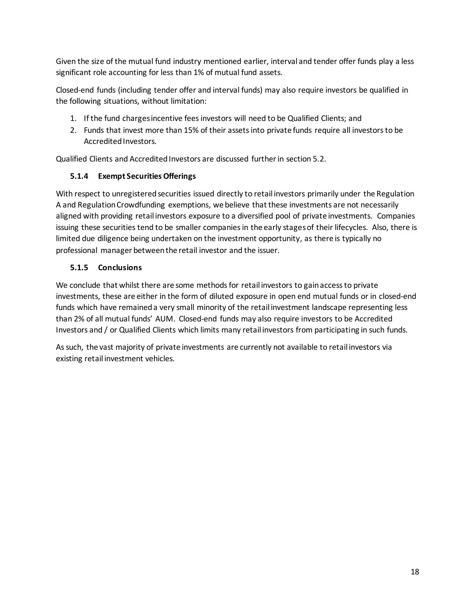Given the size of the mutual fund industry mentioned earlier, interval and tender offer funds play a less significant role accounting for less than 1% of mutual fund assets.

Closed-end funds (including tender offer and interval funds) may also require investors be qualified in the following situations, without limitation:

- 1. If the fund chargesincentive fees investors will need to be Qualified Clients; and
- 2. Funds that invest more than 15% of their assets into private funds require all investors to be Accredited Investors.

Qualified Clients and Accredited Investors are discussed further in section 5.2.

## **5.1.4 Exempt Securities Offerings**

With respect to unregistered securities issued directly to retail investors primarily under the Regulation A and Regulation Crowdfunding exemptions, we believe that these investments are not necessarily aligned with providing retail investors exposure to a diversified pool of private investments. Companies issuing these securities tend to be smaller companies in the early stagesof their lifecycles. Also, there is limited due diligence being undertaken on the investment opportunity, as there is typically no professional manager between the retail investor and the issuer.

## **5.1.5 Conclusions**

We conclude that whilst there are some methods for retail investors to gain access to private investments, these are either in the form of diluted exposure in open end mutual funds or in closed-end funds which have remained a very small minority of the retail investment landscape representing less than 2% of all mutual funds' AUM. Closed-end funds may also require investors to be Accredited Investors and / or Qualified Clients which limits many retail investors from participating in such funds.

As such, the vast majority of private investments are currently not available to retail investors via existing retail investment vehicles.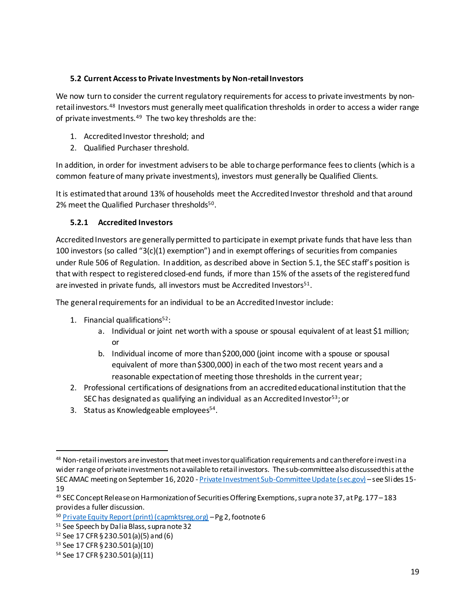## **5.2 Current Access to Private Investments by Non-retail Investors**

We now turn to consider the current regulatory requirements for access to private investments by nonretail investors.<sup>48</sup> Investors must generally meet qualification thresholds in order to access a wider range of private investments.<sup>49</sup> The two key thresholds are the:

- 1. Accredited Investor threshold; and
- 2. Qualified Purchaser threshold.

In addition, in order for investment advisers to be able to charge performance fees to clients (which is a common feature of many private investments), investors must generally be Qualified Clients.

It is estimated that around 13% of households meet the Accredited Investor threshold and that around 2% meet the Qualified Purchaser thresholds<sup>50</sup>.

# **5.2.1 Accredited Investors**

Accredited Investors are generally permitted to participate in exempt private funds that have less than 100 investors (so called "3(c)(1) exemption") and in exempt offerings of securities from companies under Rule 506 of Regulation. In addition, as described above in Section 5.1, the SEC staff's position is that with respect to registered closed-end funds, if more than 15% of the assets of the registered fund are invested in private funds, all investors must be Accredited Investors<sup>51</sup>.

The general requirements for an individual to be an Accredited Investor include:

- 1. Financial qualifications<sup>52</sup>:
	- a. Individual or joint net worth with a spouse or spousal equivalent of at least \$1 million; or
	- b. Individual income of more than \$200,000 (joint income with a spouse or spousal equivalent of more than \$300,000) in each of the two most recent years and a reasonable expectation of meeting those thresholds in the current year;
- 2. Professional certifications of designations from an accredited educational institution that the SEC has designated as qualifying an individual as an Accredited Investor<sup>53</sup>; or
- 3. Status as Knowledgeable employees<sup>54</sup>.

l 48 Non-retail investors are investors that meet investor qualification requirements and can therefore invest in a wider range of private investments not available to retail investors. The sub-committee also discussed this at the SEC AMAC meeting on September 16, 2020 - [Private Investment Sub-Committee Update \(sec.gov\)](https://www.sec.gov/files/amac-pi-sub-committee-presentation-09162020.pdf) –see Slides 15- 19

<sup>49</sup> SEC Concept Release on Harmonization of Securities Offering Exemptions, supra note 37, at Pg. 177 –183 provides a fuller discussion.

<sup>50</sup> [Private Equity Report \(print\) \(capmktsreg.org\)](https://www.capmktsreg.org/wp-content/uploads/2018/10/Private-Equity-Report-FINAL-1.pdf) –Pg 2, footnote 6

<sup>51</sup> See Speech by Dalia Blass, supra note 32

<sup>52</sup> See 17 CFR § 230.501(a)(5) and (6)

<sup>53</sup> See 17 CFR § 230.501(a)(10)

<sup>54</sup> See 17 CFR § 230.501(a)(11)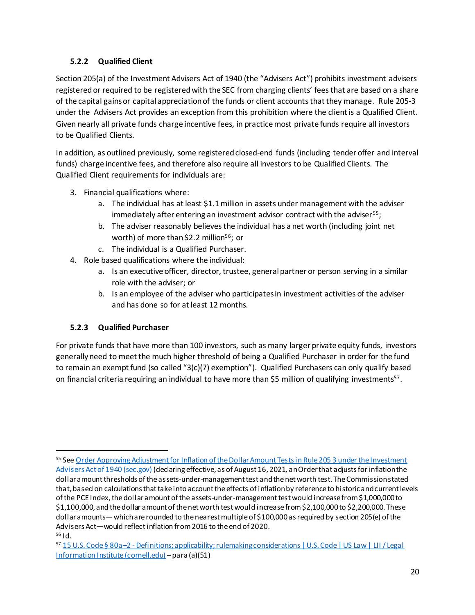# **5.2.2 Qualified Client**

Section 205(a) of the Investment Advisers Act of 1940 (the "Advisers Act") prohibits investment advisers registered or required to be registered with the SEC from charging clients' fees that are based on a share of the capital gains or capital appreciation of the funds or client accounts that they manage. Rule 205-3 under the Advisers Act provides an exception from this prohibition where the client is a Qualified Client. Given nearly all private funds charge incentive fees, in practice most private funds require all investors to be Qualified Clients.

In addition, as outlined previously, some registered closed-end funds (including tender offer and interval funds) charge incentive fees, and therefore also require all investors to be Qualified Clients. The Qualified Client requirements for individuals are:

- 3. Financial qualifications where:
	- a. The individual has at least \$1.1million in assets under management with the adviser immediately after entering an investment advisor contract with the adviser<sup>55</sup>;
	- b. The adviser reasonably believes the individual has a net worth (including joint net worth) of more than \$2.2 million<sup>56</sup>; or
	- c. The individual is a Qualified Purchaser.
- 4. Role based qualifications where the individual:
	- a. Is an executive officer, director, trustee, general partner or person serving in a similar role with the adviser; or
	- b. Is an employee of the adviser who participates in investment activities of the adviser and has done so for at least 12 months.

# **5.2.3 Qualified Purchaser**

l

For private funds that have more than 100 investors, such as many larger private equity funds, investors generally need to meet the much higher threshold of being a Qualified Purchaser in order for the fund to remain an exempt fund (so called "3(c)(7) exemption"). Qualified Purchasers can only qualify based on financial criteria requiring an individual to have more than \$5 million of qualifying investments<sup>57</sup>.

<sup>55</sup> Se[e Order Approving Adjustment for Inflation of the Dollar Amount Tests in Rule 205 3 under the Investment](https://www.sec.gov/files/ia-5756.pdf)  [Advisers Act of 1940 \(sec.gov\)](https://www.sec.gov/files/ia-5756.pdf) (declaring effective, as of August 16, 2021, an Order that adjusts for inflation the dollar amountthresholds of the assets-under-management test and the net worth test. The Commission stated that, based on calculations that take into account the effects of inflation by reference to historic and current levels of the PCE Index, the dollar amount of the assets-under-management test would increase from \$1,000,000 to \$1,100,000, and the dollar amount of the net worth test would increase from \$2,100,000 to \$2,200,000. These dollar amounts—which are rounded to the nearest multiple of \$100,000 as required by section 205(e) of the Advisers Act—would reflect inflation from 2016 to the end of 2020.  $56$  Id.

<sup>57</sup> 15 U.S. Code § 80a–2 - [Definitions; applicability; rulemaking considerations | U.S. Code | US Law | LII / Legal](https://www.law.cornell.edu/uscode/text/15/80a-2)  [Information Institute \(cornell.edu\)](https://www.law.cornell.edu/uscode/text/15/80a-2) –para (a)(51)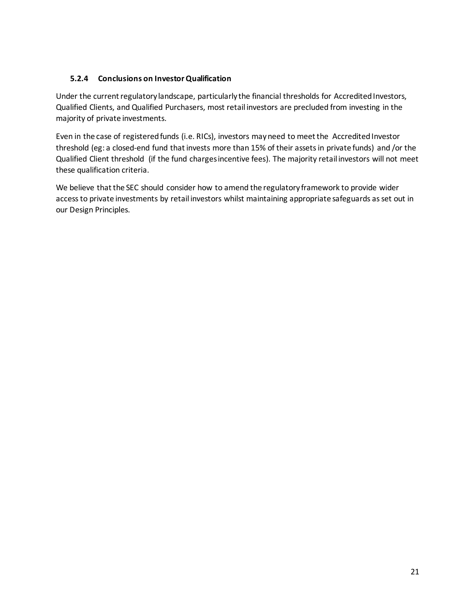## **5.2.4 Conclusions on Investor Qualification**

Under the current regulatory landscape, particularly the financial thresholds for Accredited Investors, Qualified Clients, and Qualified Purchasers, most retail investors are precluded from investing in the majority of private investments.

Even in the case of registered funds (i.e. RICs), investors may need to meet the Accredited Investor threshold (eg: a closed-end fund that invests more than 15% of their assets in private funds) and /or the Qualified Client threshold (if the fund charges incentive fees). The majority retail investors will not meet these qualification criteria.

We believe that the SEC should consider how to amend the regulatory framework to provide wider access to private investments by retail investors whilst maintaining appropriate safeguards as set out in our Design Principles.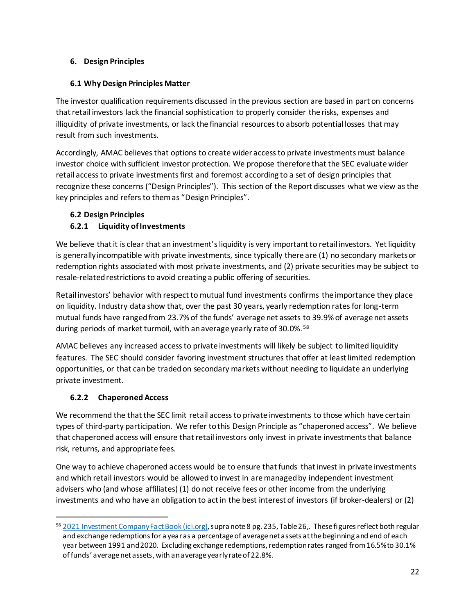## **6. Design Principles**

## **6.1 Why Design Principles Matter**

The investor qualification requirements discussed in the previous section are based in part on concerns that retail investors lack the financial sophistication to properly consider the risks, expenses and illiquidity of private investments, or lack the financial resources to absorb potential losses that may result from such investments.

Accordingly, AMAC believes that options to create wider accessto private investments must balance investor choice with sufficient investor protection. We propose therefore that the SEC evaluate wider retail access to private investments first and foremost according to a set of design principles that recognize these concerns ("Design Principles"). This section of the Report discusses what we view as the key principles and refers to them as "Design Principles".

## **6.2 Design Principles**

# **6.2.1 Liquidity of Investments**

We believe that it is clear that an investment's liquidity is very important to retail investors. Yet liquidity is generally incompatible with private investments, since typically there are (1) no secondary markets or redemption rights associated with most private investments, and (2) private securities may be subject to resale-related restrictions to avoid creating a public offering of securities.

Retail investors' behavior with respect to mutual fund investments confirms the importance they place on liquidity. Industry data show that, over the past 30 years, yearly redemption rates for long-term mutual funds have ranged from 23.7% of the funds' average net assets to 39.9% of average net assets during periods of market turmoil, with an average yearly rate of 30.0%. <sup>58</sup>

AMAC believes any increased access to private investments will likely be subject to limited liquidity features. The SEC should consider favoring investment structures that offer at least limited redemption opportunities, or that can be traded on secondary markets without needing to liquidate an underlying private investment.

# **6.2.2 Chaperoned Access**

l

We recommend the that the SEC limit retail access to private investments to those which have certain types of third-party participation. We refer to this Design Principle as "chaperoned access". We believe that chaperoned access will ensure that retail investors only invest in private investmentsthat balance risk, returns, and appropriate fees.

One way to achieve chaperoned access would be to ensure that funds that invest in private investments and which retail investors would be allowed to invest in are managed by independent investment advisers who (and whose affiliates) (1) do not receive fees or other income from the underlying investments and who have an obligation to act in the best interest of investors (if broker-dealers) or (2)

<sup>58</sup> [2021 Investment Company Fact Book \(ici.org\),](https://www.ici.org/system/files/2021-05/2021_factbook.pdf) supra note 8 pg. 235, Table 26,. These figures reflect both regular and exchange redemptions for a year as a percentage of average net assets at the beginning and end of each year between 1991 and 2020. Excluding exchange redemptions, redemption rates ranged from 16.5% to 30.1% of funds' average net assets, with an average yearly rate of 22.8%.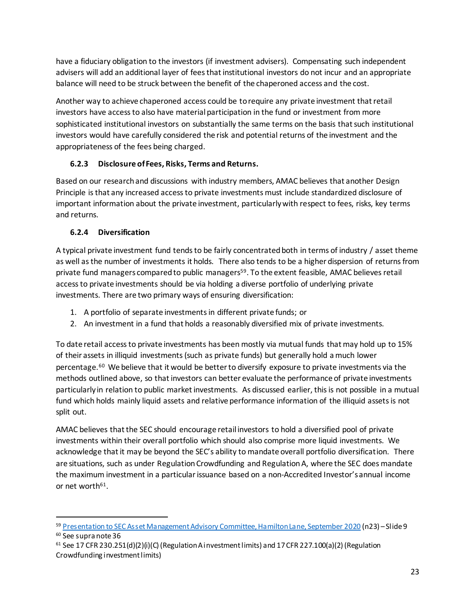have a fiduciary obligation to the investors (if investment advisers). Compensating such independent advisers will add an additional layer of fees that institutional investors do not incur and an appropriate balance will need to be struck between the benefit of the chaperoned access and the cost.

Another way to achieve chaperoned access could be to require any private investment that retail investors have access to also have material participation in the fund or investment from more sophisticated institutional investors on substantially the same terms on the basis that such institutional investors would have carefully considered the risk and potential returns of the investment and the appropriateness of the fees being charged.

# **6.2.3 Disclosure of Fees, Risks, Terms and Returns.**

Based on our research and discussions with industry members, AMAC believes that another Design Principle is that any increased access to private investments must include standardized disclosure of important information about the private investment, particularly with respect to fees, risks, key terms and returns.

# **6.2.4 Diversification**

l

A typical private investment fund tends to be fairly concentrated both in terms of industry / asset theme as well as the number of investments it holds. There also tends to be a higher dispersion of returns from private fund managers compared to public managers<sup>59</sup>. To the extent feasible, AMAC believes retail access to private investments should be via holding a diverse portfolio of underlying private investments. There are two primary ways of ensuring diversification:

- 1. A portfolio of separate investments in different private funds; or
- 2. An investment in a fund that holds a reasonably diversified mix of private investments.

To date retail access to private investments has been mostly via mutual funds that may hold up to 15% of their assets in illiquid investments (such as private funds) but generally hold a much lower percentage.<sup>60</sup> We believe that it would be better to diversify exposure to private investments via the methods outlined above, so that investors can better evaluate the performance of private investments particularly in relation to public market investments. As discussed earlier, this is not possible in a mutual fund which holds mainly liquid assets and relative performance information of the illiquid assets is not split out.

AMAC believes that the SEC should encourage retail investors to hold a diversified pool of private investments within their overall portfolio which should also comprise more liquid investments. We acknowledge that it may be beyond the SEC's ability to mandate overall portfolio diversification. There are situations, such as under Regulation Crowdfunding and Regulation A, where the SEC does mandate the maximum investment in a particular issuance based on a non-Accredited Investor's annual income or net worth<sup>61</sup>.

<sup>59</sup> [Presentation to SEC Asset Management Advisory Committee, Hamilton Lane, September 2020](https://www.sec.gov/files/hamilton-lane-presentation-092020.pdf) (n23) - Slide 9 <sup>60</sup> See supra note 36

 $61$  See 17 CFR 230.251(d)(2)(i)(C) (Regulation A investment limits) and 17 CFR 227.100(a)(2) (Regulation Crowdfunding investment limits)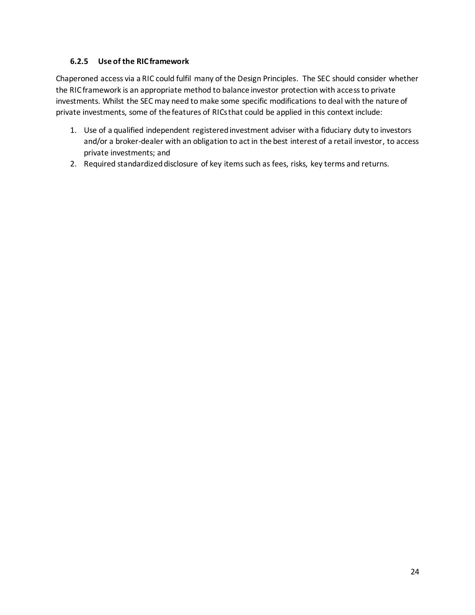## **6.2.5 Use of the RIC framework**

Chaperoned access via a RIC could fulfil many of the Design Principles. The SEC should consider whether the RIC framework is an appropriate method to balance investor protection with accessto private investments. Whilst the SEC may need to make some specific modifications to deal with the nature of private investments, some of the features of RICs that could be applied in this context include:

- 1. Use of a qualified independent registered investment adviser with a fiduciary duty to investors and/or a broker-dealer with an obligation to act in the best interest of a retail investor, to access private investments; and
- 2. Required standardized disclosure of key items such as fees, risks, key terms and returns.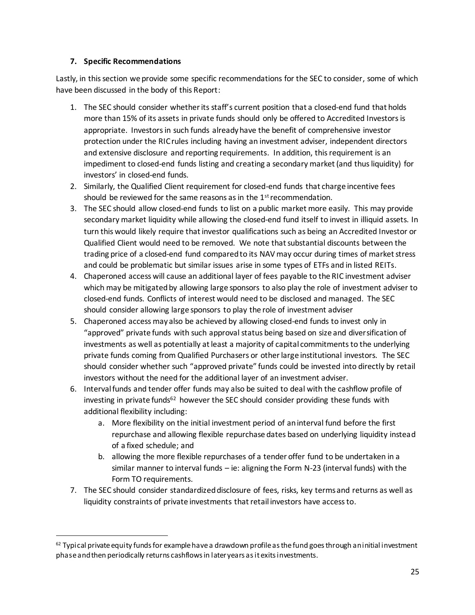### **7. Specific Recommendations**

l

Lastly, in this section we provide some specific recommendations for the SEC to consider, some of which have been discussed in the body of this Report:

- 1. The SEC should consider whether its staff's current position that a closed-end fund that holds more than 15% of its assets in private funds should only be offered to Accredited Investorsis appropriate. Investors in such funds already have the benefit of comprehensive investor protection under the RIC rules including having an investment adviser, independent directors and extensive disclosure and reporting requirements. In addition, this requirement is an impediment to closed-end funds listing and creating a secondary market (and thus liquidity) for investors' in closed-end funds.
- 2. Similarly, the Qualified Client requirement for closed-end funds that charge incentive fees should be reviewed for the same reasons as in the  $1<sup>st</sup>$  recommendation.
- 3. The SEC should allow closed-end funds to list on a public market more easily. This may provide secondary market liquidity while allowing the closed-end fund itself to invest in illiquid assets. In turn this would likely require that investor qualifications such as being an Accredited Investor or Qualified Client would need to be removed. We note that substantial discounts between the trading price of a closed-end fund compared to its NAV may occur during times of market stress and could be problematic but similar issues arise in some types of ETFs and in listed REITs.
- 4. Chaperoned access will cause an additional layer of fees payable to the RIC investment adviser which may be mitigated by allowing large sponsors to also play the role of investment adviser to closed-end funds. Conflicts of interest would need to be disclosed and managed. The SEC should consider allowing large sponsors to play the role of investment adviser
- 5. Chaperoned access may also be achieved by allowing closed-end funds to invest only in "approved" private funds with such approval status being based on size and diversification of investments as well as potentially at least a majority of capital commitments to the underlying private funds coming from Qualified Purchasers or other large institutional investors. The SEC should consider whether such "approved private" funds could be invested into directly by retail investors without the need for the additional layer of an investment adviser.
- 6. Interval funds and tender offer funds may also be suited to deal with the cashflow profile of investing in private funds<sup>62</sup> however the SEC should consider providing these funds with additional flexibility including:
	- a. More flexibility on the initial investment period of an interval fund before the first repurchase and allowing flexible repurchase dates based on underlying liquidity instead of a fixed schedule; and
	- b. allowing the more flexible repurchases of a tender offer fund to be undertaken in a similar manner to interval funds – ie: aligning the Form N-23 (interval funds) with the Form TO requirements.
- 7. The SEC should consider standardized disclosure of fees, risks, key terms and returns as well as liquidity constraints of private investments that retail investors have access to.

 $62$  Typical private equity funds for example have a drawdown profile as the fund goes through an initial investment phase and then periodically returns cashflows in later years as it exits investments.